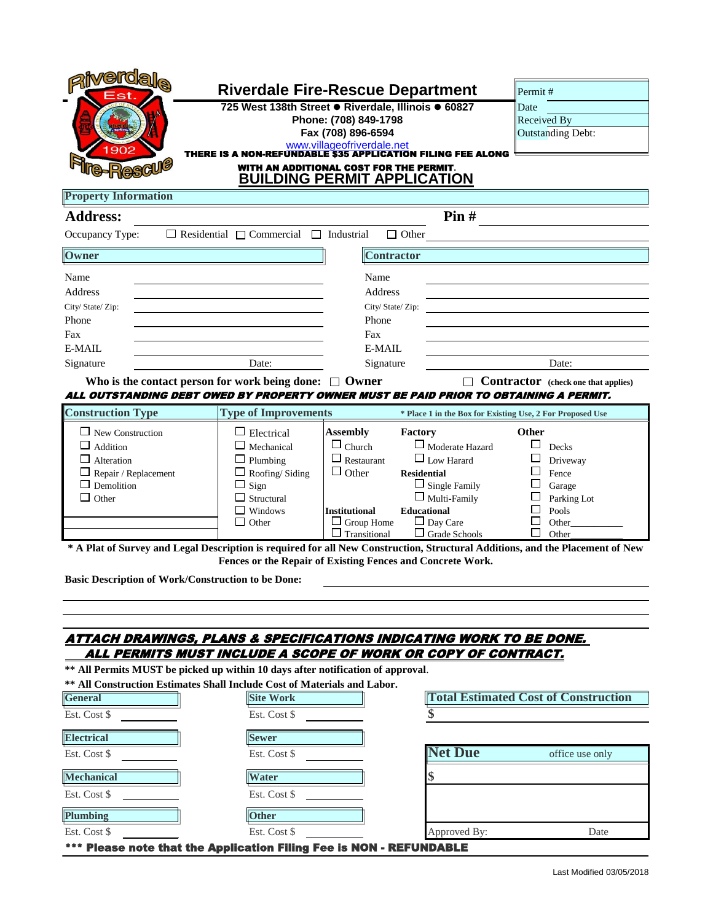| <b>verdal</b> e                                                                                                                                                                                    |                                                        |                                                                                                |                        |                                                           |  |  |
|----------------------------------------------------------------------------------------------------------------------------------------------------------------------------------------------------|--------------------------------------------------------|------------------------------------------------------------------------------------------------|------------------------|-----------------------------------------------------------|--|--|
| Est                                                                                                                                                                                                |                                                        | <b>Riverdale Fire-Rescue Department</b><br>725 West 138th Street · Riverdale, Illinois · 60827 |                        | Permit#<br>Date                                           |  |  |
|                                                                                                                                                                                                    |                                                        | Phone: (708) 849-1798                                                                          |                        | Received By                                               |  |  |
|                                                                                                                                                                                                    |                                                        | Fax (708) 896-6594                                                                             |                        | <b>Outstanding Debt:</b>                                  |  |  |
| 1902                                                                                                                                                                                               | <b>THERE IS A NON-REI</b>                              | www.villageofriverdale.net                                                                     | ON FILING FEE ALONG    |                                                           |  |  |
| WITH AN ADDITIONAL COST FOR THE PERMIT.<br><b>BUILDING PERMIT APPLICATION</b>                                                                                                                      |                                                        |                                                                                                |                        |                                                           |  |  |
| <b>Property Information</b>                                                                                                                                                                        |                                                        |                                                                                                |                        |                                                           |  |  |
| <b>Address:</b>                                                                                                                                                                                    |                                                        |                                                                                                | Pin#                   |                                                           |  |  |
| Occupancy Type:                                                                                                                                                                                    | $\Box$ Residential $\Box$ Commercial $\Box$ Industrial | $\Box$ Other                                                                                   |                        |                                                           |  |  |
| Owner                                                                                                                                                                                              |                                                        | <b>Contractor</b>                                                                              |                        |                                                           |  |  |
| Name                                                                                                                                                                                               |                                                        | Name                                                                                           |                        |                                                           |  |  |
| Address                                                                                                                                                                                            |                                                        | Address                                                                                        |                        |                                                           |  |  |
| City/ State/ Zip:                                                                                                                                                                                  |                                                        | City/ State/ Zip:                                                                              |                        |                                                           |  |  |
| Phone                                                                                                                                                                                              |                                                        | Phone                                                                                          |                        |                                                           |  |  |
| Fax                                                                                                                                                                                                |                                                        | Fax                                                                                            |                        |                                                           |  |  |
| E-MAIL                                                                                                                                                                                             |                                                        | E-MAIL                                                                                         |                        |                                                           |  |  |
| Signature                                                                                                                                                                                          | Date:                                                  | Signature                                                                                      |                        | Date:                                                     |  |  |
| Who is the contact person for work being done: $\Box$ Owner<br><b>Contractor</b> (check one that applies)<br>ALL OUTSTANDING DEBT OWED BY PROPERTY OWNER MUST BE PAID PRIOR TO OBTAINING A PERMIT. |                                                        |                                                                                                |                        |                                                           |  |  |
| <b>Construction Type</b>                                                                                                                                                                           | <b>Type of Improvements</b>                            |                                                                                                |                        | * Place 1 in the Box for Existing Use, 2 For Proposed Use |  |  |
| $\Box$ New Construction                                                                                                                                                                            | $\Box$ Electrical                                      | <b>Assembly</b><br>Factory                                                                     |                        | Other                                                     |  |  |
| Addition                                                                                                                                                                                           | Mechanical                                             | $\Box$ Church                                                                                  | $\Box$ Moderate Hazard | Decks                                                     |  |  |
| Alteration                                                                                                                                                                                         | Plumbing                                               | $\Box$ Low Harard<br>$\Box$ Restaurant                                                         |                        | Driveway                                                  |  |  |
| Repair / Replacement                                                                                                                                                                               | Roofing/Siding                                         | $\Box$ Other<br><b>Residential</b>                                                             |                        | Fence                                                     |  |  |
| Demolition                                                                                                                                                                                         | Sign                                                   |                                                                                                | $\Box$ Single Family   | Garage                                                    |  |  |
| $\Box$ Other                                                                                                                                                                                       | Structural<br>Windows                                  | <b>Educational</b>                                                                             | $\Box$ Multi-Family    | Parking Lot                                               |  |  |
|                                                                                                                                                                                                    | Other                                                  | <b>Institutional</b><br>Day Care<br>Group Home<br>ப                                            |                        | Pools<br>Other                                            |  |  |
|                                                                                                                                                                                                    |                                                        | $\Box$ Transitional                                                                            | $\Box$ Grade Schools   | Other                                                     |  |  |
| * A Plat of Survey and Legal Description is required for all New Construction, Structural Additions, and the Placement of New<br><b>Basic Description of Work/Construction to be Done:</b>         |                                                        | Fences or the Repair of Existing Fences and Concrete Work.                                     |                        |                                                           |  |  |
|                                                                                                                                                                                                    |                                                        |                                                                                                |                        |                                                           |  |  |
| ATTACH DRAWINGS, PLANS & SPECIFICATIONS INDICATING WORK TO BE DONE.                                                                                                                                |                                                        |                                                                                                |                        |                                                           |  |  |
|                                                                                                                                                                                                    |                                                        | ALL PERMITS MUST INCLUDE A SCOPE OF WORK OR COPY OF CONTRACT.                                  |                        |                                                           |  |  |
| ** All Permits MUST be picked up within 10 days after notification of approval.                                                                                                                    |                                                        |                                                                                                |                        |                                                           |  |  |
| ** All Construction Estimates Shall Include Cost of Materials and Labor.                                                                                                                           |                                                        |                                                                                                |                        |                                                           |  |  |
| General                                                                                                                                                                                            | <b>Site Work</b>                                       |                                                                                                |                        | <b>Total Estimated Cost of Construction</b>               |  |  |
| Est. Cost \$                                                                                                                                                                                       | Est. Cost \$                                           |                                                                                                |                        |                                                           |  |  |
| <b>Electrical</b>                                                                                                                                                                                  | <b>Sewer</b>                                           |                                                                                                |                        |                                                           |  |  |
| Est. Cost \$                                                                                                                                                                                       | Est. Cost \$                                           |                                                                                                | <b>Net Due</b>         | office use only                                           |  |  |
| <b>Mechanical</b>                                                                                                                                                                                  | Water                                                  |                                                                                                |                        |                                                           |  |  |
| Est. Cost \$                                                                                                                                                                                       | Est. Cost \$                                           |                                                                                                |                        |                                                           |  |  |
| Plumbing                                                                                                                                                                                           | Other                                                  |                                                                                                |                        |                                                           |  |  |
| Est. Cost \$                                                                                                                                                                                       | Est. Cost \$                                           |                                                                                                | Approved By:           | Date                                                      |  |  |

\*\*\* Please note that the Application Filing Fee is NON - REFUNDABLE